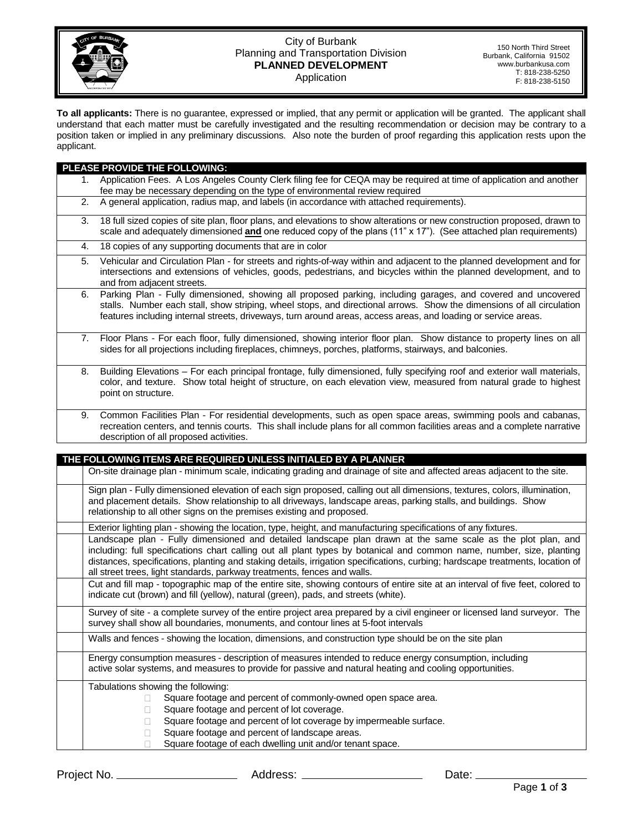

## City of Burbank Planning and Transportation Division **PLANNED DEVELOPMENT** Application

150 North Third Street Burbank, California 91502 www.burbankusa.com T: 818-238-5250 F: 818-238-5150

**To all applicants:** There is no guarantee, expressed or implied, that any permit or application will be granted. The applicant shall understand that each matter must be carefully investigated and the resulting recommendation or decision may be contrary to a position taken or implied in any preliminary discussions. Also note the burden of proof regarding this application rests upon the applicant.

| PLEASE PROVIDE THE FOLLOWING:                                                                                                                                                                                                                                                                                                                                                                                                                       |  |  |  |
|-----------------------------------------------------------------------------------------------------------------------------------------------------------------------------------------------------------------------------------------------------------------------------------------------------------------------------------------------------------------------------------------------------------------------------------------------------|--|--|--|
| Application Fees. A Los Angeles County Clerk filing fee for CEQA may be required at time of application and another<br>1.                                                                                                                                                                                                                                                                                                                           |  |  |  |
| fee may be necessary depending on the type of environmental review required                                                                                                                                                                                                                                                                                                                                                                         |  |  |  |
| 2.<br>A general application, radius map, and labels (in accordance with attached requirements).                                                                                                                                                                                                                                                                                                                                                     |  |  |  |
| 18 full sized copies of site plan, floor plans, and elevations to show alterations or new construction proposed, drawn to<br>3.<br>scale and adequately dimensioned and one reduced copy of the plans (11" x 17"). (See attached plan requirements)                                                                                                                                                                                                 |  |  |  |
| 18 copies of any supporting documents that are in color<br>4.                                                                                                                                                                                                                                                                                                                                                                                       |  |  |  |
| Vehicular and Circulation Plan - for streets and rights-of-way within and adjacent to the planned development and for<br>5.<br>intersections and extensions of vehicles, goods, pedestrians, and bicycles within the planned development, and to<br>and from adjacent streets.                                                                                                                                                                      |  |  |  |
| Parking Plan - Fully dimensioned, showing all proposed parking, including garages, and covered and uncovered<br>6.<br>stalls. Number each stall, show striping, wheel stops, and directional arrows. Show the dimensions of all circulation<br>features including internal streets, driveways, turn around areas, access areas, and loading or service areas.                                                                                       |  |  |  |
| Floor Plans - For each floor, fully dimensioned, showing interior floor plan. Show distance to property lines on all<br>7.<br>sides for all projections including fireplaces, chimneys, porches, platforms, stairways, and balconies.                                                                                                                                                                                                               |  |  |  |
| Building Elevations - For each principal frontage, fully dimensioned, fully specifying roof and exterior wall materials,<br>8.<br>color, and texture. Show total height of structure, on each elevation view, measured from natural grade to highest<br>point on structure.                                                                                                                                                                         |  |  |  |
| Common Facilities Plan - For residential developments, such as open space areas, swimming pools and cabanas,<br>9.<br>recreation centers, and tennis courts. This shall include plans for all common facilities areas and a complete narrative<br>description of all proposed activities.                                                                                                                                                           |  |  |  |
|                                                                                                                                                                                                                                                                                                                                                                                                                                                     |  |  |  |
|                                                                                                                                                                                                                                                                                                                                                                                                                                                     |  |  |  |
| THE FOLLOWING ITEMS ARE REQUIRED UNLESS INITIALED BY A PLANNER                                                                                                                                                                                                                                                                                                                                                                                      |  |  |  |
| On-site drainage plan - minimum scale, indicating grading and drainage of site and affected areas adjacent to the site.                                                                                                                                                                                                                                                                                                                             |  |  |  |
| Sign plan - Fully dimensioned elevation of each sign proposed, calling out all dimensions, textures, colors, illumination,<br>and placement details. Show relationship to all driveways, landscape areas, parking stalls, and buildings. Show<br>relationship to all other signs on the premises existing and proposed.                                                                                                                             |  |  |  |
| Exterior lighting plan - showing the location, type, height, and manufacturing specifications of any fixtures.                                                                                                                                                                                                                                                                                                                                      |  |  |  |
| Landscape plan - Fully dimensioned and detailed landscape plan drawn at the same scale as the plot plan, and<br>including: full specifications chart calling out all plant types by botanical and common name, number, size, planting<br>distances, specifications, planting and staking details, irrigation specifications, curbing; hardscape treatments, location of<br>all street trees, light standards, parkway treatments, fences and walls. |  |  |  |
| Cut and fill map - topographic map of the entire site, showing contours of entire site at an interval of five feet, colored to<br>indicate cut (brown) and fill (yellow), natural (green), pads, and streets (white).                                                                                                                                                                                                                               |  |  |  |
| Survey of site - a complete survey of the entire project area prepared by a civil engineer or licensed land surveyor. The<br>survey shall show all boundaries, monuments, and contour lines at 5-foot intervals                                                                                                                                                                                                                                     |  |  |  |
| Walls and fences - showing the location, dimensions, and construction type should be on the site plan                                                                                                                                                                                                                                                                                                                                               |  |  |  |
| Energy consumption measures - description of measures intended to reduce energy consumption, including<br>active solar systems, and measures to provide for passive and natural heating and cooling opportunities.                                                                                                                                                                                                                                  |  |  |  |
| Tabulations showing the following:                                                                                                                                                                                                                                                                                                                                                                                                                  |  |  |  |
| Square footage and percent of commonly-owned open space area.<br>П                                                                                                                                                                                                                                                                                                                                                                                  |  |  |  |
| Square footage and percent of lot coverage.                                                                                                                                                                                                                                                                                                                                                                                                         |  |  |  |
| Square footage and percent of lot coverage by impermeable surface.<br>Ш<br>Square footage and percent of landscape areas.<br>$\Box$                                                                                                                                                                                                                                                                                                                 |  |  |  |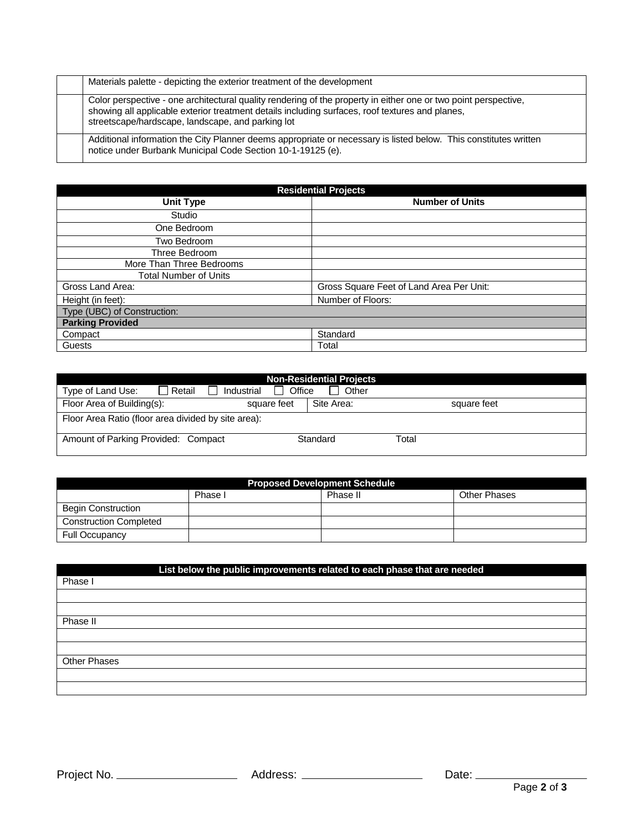| Materials palette - depicting the exterior treatment of the development                                                                                                                                                                                                 |
|-------------------------------------------------------------------------------------------------------------------------------------------------------------------------------------------------------------------------------------------------------------------------|
| Color perspective - one architectural quality rendering of the property in either one or two point perspective,<br>showing all applicable exterior treatment details including surfaces, roof textures and planes,<br>streetscape/hardscape, landscape, and parking lot |
| Additional information the City Planner deems appropriate or necessary is listed below. This constitutes written<br>notice under Burbank Municipal Code Section 10-1-19125 (e).                                                                                         |

| <b>Residential Projects</b>  |                                          |  |  |  |
|------------------------------|------------------------------------------|--|--|--|
| <b>Unit Type</b>             | <b>Number of Units</b>                   |  |  |  |
| Studio                       |                                          |  |  |  |
| One Bedroom                  |                                          |  |  |  |
| Two Bedroom                  |                                          |  |  |  |
| Three Bedroom                |                                          |  |  |  |
| More Than Three Bedrooms     |                                          |  |  |  |
| <b>Total Number of Units</b> |                                          |  |  |  |
| Gross Land Area:             | Gross Square Feet of Land Area Per Unit: |  |  |  |
| Height (in feet):            | Number of Floors:                        |  |  |  |
| Type (UBC) of Construction:  |                                          |  |  |  |
| <b>Parking Provided</b>      |                                          |  |  |  |
| Compact                      | Standard                                 |  |  |  |
| Guests                       | Total                                    |  |  |  |

| <b>Non-Residential Projects</b>                                |            |             |  |  |  |  |  |
|----------------------------------------------------------------|------------|-------------|--|--|--|--|--|
| ⊟ Retail<br>Office<br>Other<br>Type of Land Use:<br>Industrial |            |             |  |  |  |  |  |
| Floor Area of Building(s):<br>square feet                      | Site Area: | square feet |  |  |  |  |  |
| Floor Area Ratio (floor area divided by site area):            |            |             |  |  |  |  |  |
| Amount of Parking Provided: Compact                            | Standard   | Total       |  |  |  |  |  |

| <b>Proposed Development Schedule</b> |         |          |                     |  |  |
|--------------------------------------|---------|----------|---------------------|--|--|
|                                      | Phase I | Phase II | <b>Other Phases</b> |  |  |
| <b>Begin Construction</b>            |         |          |                     |  |  |
| <b>Construction Completed</b>        |         |          |                     |  |  |
| <b>Full Occupancy</b>                |         |          |                     |  |  |

| List below the public improvements related to each phase that are needed |  |
|--------------------------------------------------------------------------|--|
| Phase I                                                                  |  |
|                                                                          |  |
|                                                                          |  |
| Phase II                                                                 |  |
|                                                                          |  |
|                                                                          |  |
| <b>Other Phases</b>                                                      |  |
|                                                                          |  |
|                                                                          |  |